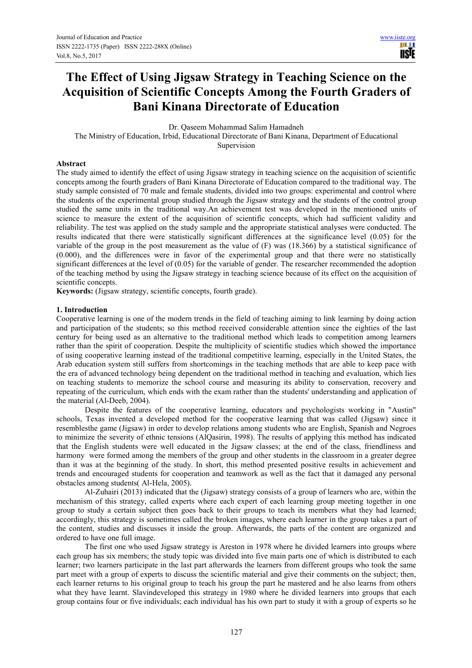# **The Effect of Using Jigsaw Strategy in Teaching Science on the Acquisition of Scientific Concepts Among the Fourth Graders of Bani Kinana Directorate of Education**

Dr. Qaseem Mohammad Salim Hamadneh

The Ministry of Education, Irbid, Educational Directorate of Bani Kinana, Department of Educational Supervision

# **Abstract**

The study aimed to identify the effect of using Jigsaw strategy in teaching science on the acquisition of scientific concepts among the fourth graders of Bani Kinana Directorate of Education compared to the traditional way. The study sample consisted of 70 male and female students, divided into two groups: experimental and control where the students of the experimental group studied through the Jigsaw strategy and the students of the control group studied the same units in the traditional way.An achievement test was developed in the mentioned units of science to measure the extent of the acquisition of scientific concepts, which had sufficient validity and reliability. The test was applied on the study sample and the appropriate statistical analyses were conducted. The results indicated that there were statistically significant differences at the significance level (0.05) for the variable of the group in the post measurement as the value of  $(F)$  was (18.366) by a statistical significance of (0.000), and the differences were in favor of the experimental group and that there were no statistically significant differences at the level of (0.05) for the variable of gender. The researcher recommended the adoption of the teaching method by using the Jigsaw strategy in teaching science because of its effect on the acquisition of scientific concepts.

**Keywords:** (Jigsaw strategy, scientific concepts, fourth grade).

#### **1. Introduction**

Cooperative learning is one of the modern trends in the field of teaching aiming to link learning by doing action and participation of the students; so this method received considerable attention since the eighties of the last century for being used as an alternative to the traditional method which leads to competition among learners rather than the spirit of cooperation. Despite the multiplicity of scientific studies which showed the importance of using cooperative learning instead of the traditional competitive learning, especially in the United States, the Arab education system still suffers from shortcomings in the teaching methods that are able to keep pace with the era of advanced technology being dependent on the traditional method in teaching and evaluation, which lies on teaching students to memorize the school course and measuring its ability to conservation, recovery and repeating of the curriculum, which ends with the exam rather than the students' understanding and application of the material (Al-Deeb, 2004).

Despite the features of the cooperative learning, educators and psychologists working in "Austin" schools, Texas invented a developed method for the cooperative learning that was called (Jigsaw) since it resemblesthe game (Jigsaw) in order to develop relations among students who are English, Spanish and Negroes to minimize the severity of ethnic tensions (AlQasirin, 1998). The results of applying this method has indicated that the English students were well educated in the Jigsaw classes; at the end of the class, friendliness and harmony were formed among the members of the group and other students in the classroom in a greater degree than it was at the beginning of the study. In short, this method presented positive results in achievement and trends and encouraged students for cooperation and teamwork as well as the fact that it damaged any personal obstacles among students( Al-Hela, 2005).

Al-Zuhairi (2013) indicated that the (Jigsaw) strategy consists of a group of learners who are, within the mechanism of this strategy, called experts where each expert of each learning group meeting together in one group to study a certain subject then goes back to their groups to teach its members what they had learned; accordingly, this strategy is sometimes called the broken images, where each learner in the group takes a part of the content, studies and discusses it inside the group. Afterwards, the parts of the content are organized and ordered to have one full image.

The first one who used Jigsaw strategy is Areston in 1978 where he divided learners into groups where each group has six members; the study topic was divided into five main parts one of which is distributed to each learner; two learners participate in the last part afterwards the learners from different groups who took the same part meet with a group of experts to discuss the scientific material and give their comments on the subject; then, each learner returns to his original group to teach his group the part he mastered and he also learns from others what they have learnt. Slavindeveloped this strategy in 1980 where he divided learners into groups that each group contains four or five individuals; each individual has his own part to study it with a group of experts so he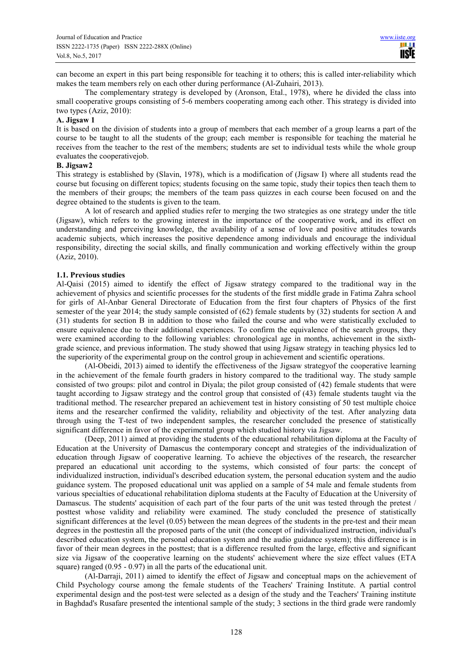can become an expert in this part being responsible for teaching it to others; this is called inter-reliability which makes the team members rely on each other during performance (Al-Zuhairi, 2013).

The complementary strategy is developed by (Aronson, Etal., 1978), where he divided the class into small cooperative groups consisting of 5-6 members cooperating among each other. This strategy is divided into two types (Aziz, 2010):

#### **A. Jigsaw 1**

It is based on the division of students into a group of members that each member of a group learns a part of the course to be taught to all the students of the group; each member is responsible for teaching the material he receives from the teacher to the rest of the members; students are set to individual tests while the whole group evaluates the cooperativejob.

#### **B. Jigsaw2**

This strategy is established by (Slavin, 1978), which is a modification of (Jigsaw I) where all students read the course but focusing on different topics; students focusing on the same topic, study their topics then teach them to the members of their groups; the members of the team pass quizzes in each course been focused on and the degree obtained to the students is given to the team.

A lot of research and applied studies refer to merging the two strategies as one strategy under the title (Jigsaw), which refers to the growing interest in the importance of the cooperative work, and its effect on understanding and perceiving knowledge, the availability of a sense of love and positive attitudes towards academic subjects, which increases the positive dependence among individuals and encourage the individual responsibility, directing the social skills, and finally communication and working effectively within the group (Aziz, 2010).

#### **1.1. Previous studies**

Al-Qaisi (2015) aimed to identify the effect of Jigsaw strategy compared to the traditional way in the achievement of physics and scientific processes for the students of the first middle grade in Fatima Zahra school for girls of Al-Anbar General Directorate of Education from the first four chapters of Physics of the first semester of the year 2014; the study sample consisted of (62) female students by (32) students for section A and (31) students for section B in addition to those who failed the course and who were statistically excluded to ensure equivalence due to their additional experiences. To confirm the equivalence of the search groups, they were examined according to the following variables: chronological age in months, achievement in the sixthgrade science, and previous information. The study showed that using Jigsaw strategy in teaching physics led to the superiority of the experimental group on the control group in achievement and scientific operations.

(Al-Obeidi, 2013) aimed to identify the effectiveness of the Jigsaw strategyof the cooperative learning in the achievement of the female fourth graders in history compared to the traditional way. The study sample consisted of two groups: pilot and control in Diyala; the pilot group consisted of (42) female students that were taught according to Jigsaw strategy and the control group that consisted of (43) female students taught via the traditional method. The researcher prepared an achievement test in history consisting of 50 test multiple choice items and the researcher confirmed the validity, reliability and objectivity of the test. After analyzing data through using the T-test of two independent samples, the researcher concluded the presence of statistically significant difference in favor of the experimental group which studied history via Jigsaw.

(Deep, 2011) aimed at providing the students of the educational rehabilitation diploma at the Faculty of Education at the University of Damascus the contemporary concept and strategies of the individualization of education through Jigsaw of cooperative learning. To achieve the objectives of the research, the researcher prepared an educational unit according to the systems, which consisted of four parts: the concept of individualized instruction, individual's described education system, the personal education system and the audio guidance system. The proposed educational unit was applied on a sample of 54 male and female students from various specialties of educational rehabilitation diploma students at the Faculty of Education at the University of Damascus. The students' acquisition of each part of the four parts of the unit was tested through the pretest / posttest whose validity and reliability were examined. The study concluded the presence of statistically significant differences at the level (0.05) between the mean degrees of the students in the pre-test and their mean degrees in the posttestin all the proposed parts of the unit (the concept of individualized instruction, individual's described education system, the personal education system and the audio guidance system); this difference is in favor of their mean degrees in the posttest; that is a difference resulted from the large, effective and significant size via Jigsaw of the cooperative learning on the students' achievement where the size effect values (ETA square) ranged (0.95 - 0.97) in all the parts of the educational unit.

(Al-Darraji, 2011) aimed to identify the effect of Jigsaw and conceptual maps on the achievement of Child Psychology course among the female students of the Teachers' Training Institute. A partial control experimental design and the post-test were selected as a design of the study and the Teachers' Training institute in Baghdad's Rusafare presented the intentional sample of the study; 3 sections in the third grade were randomly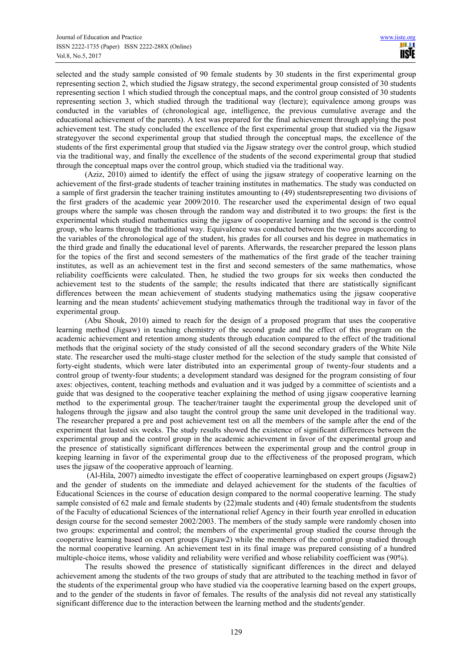selected and the study sample consisted of 90 female students by 30 students in the first experimental group representing section 2, which studied the Jigsaw strategy, the second experimental group consisted of 30 students representing section 1 which studied through the conceptual maps, and the control group consisted of 30 students representing section 3, which studied through the traditional way (lecture); equivalence among groups was conducted in the variables of (chronological age, intelligence, the previous cumulative average and the educational achievement of the parents). A test was prepared for the final achievement through applying the post achievement test. The study concluded the excellence of the first experimental group that studied via the Jigsaw strategyover the second experimental group that studied through the conceptual maps, the excellence of the students of the first experimental group that studied via the Jigsaw strategy over the control group, which studied via the traditional way, and finally the excellence of the students of the second experimental group that studied through the conceptual maps over the control group, which studied via the traditional way.

(Aziz, 2010) aimed to identify the effect of using the jigsaw strategy of cooperative learning on the achievement of the first-grade students of teacher training institutes in mathematics. The study was conducted on a sample of first gradersin the teacher training institutes amounting to (49) studentsrepresenting two divisions of the first graders of the academic year 2009/2010. The researcher used the experimental design of two equal groups where the sample was chosen through the random way and distributed it to two groups: the first is the experimental which studied mathematics using the jigsaw of cooperative learning and the second is the control group, who learns through the traditional way. Equivalence was conducted between the two groups according to the variables of the chronological age of the student, his grades for all courses and his degree in mathematics in the third grade and finally the educational level of parents. Afterwards, the researcher prepared the lesson plans for the topics of the first and second semesters of the mathematics of the first grade of the teacher training institutes, as well as an achievement test in the first and second semesters of the same mathematics, whose reliability coefficients were calculated. Then, he studied the two groups for six weeks then conducted the achievement test to the students of the sample; the results indicated that there are statistically significant differences between the mean achievement of students studying mathematics using the jigsaw cooperative learning and the mean students' achievement studying mathematics through the traditional way in favor of the experimental group.

(Abu Shouk, 2010) aimed to reach for the design of a proposed program that uses the cooperative learning method (Jigsaw) in teaching chemistry of the second grade and the effect of this program on the academic achievement and retention among students through education compared to the effect of the traditional methods that the original society of the study consisted of all the second secondary graders of the White Nile state. The researcher used the multi-stage cluster method for the selection of the study sample that consisted of forty-eight students, which were later distributed into an experimental group of twenty-four students and a control group of twenty-four students; a development standard was designed for the program consisting of four axes: objectives, content, teaching methods and evaluation and it was judged by a committee of scientists and a guide that was designed to the cooperative teacher explaining the method of using jigsaw cooperative learning method to the experimental group. The teacher/trainer taught the experimental group the developed unit of halogens through the jigsaw and also taught the control group the same unit developed in the traditional way. The researcher prepared a pre and post achievement test on all the members of the sample after the end of the experiment that lasted six weeks. The study results showed the existence of significant differences between the experimental group and the control group in the academic achievement in favor of the experimental group and the presence of statistically significant differences between the experimental group and the control group in keeping learning in favor of the experimental group due to the effectiveness of the proposed program, which uses the jigsaw of the cooperative approach of learning.

 (Al-Hila, 2007) aimedto investigate the effect of cooperative learningbased on expert groups (Jigsaw2) and the gender of students on the immediate and delayed achievement for the students of the faculties of Educational Sciences in the course of education design compared to the normal cooperative learning. The study sample consisted of 62 male and female students by (22)male students and (40) female studentsfrom the students of the Faculty of educational Sciences of the international relief Agency in their fourth year enrolled in education design course for the second semester 2002/2003. The members of the study sample were randomly chosen into two groups: experimental and control; the members of the experimental group studied the course through the cooperative learning based on expert groups (Jigsaw2) while the members of the control group studied through the normal cooperative learning. An achievement test in its final image was prepared consisting of a hundred multiple-choice items, whose validity and reliability were verified and whose reliability coefficient was (90%).

The results showed the presence of statistically significant differences in the direct and delayed achievement among the students of the two groups of study that are attributed to the teaching method in favor of the students of the experimental group who have studied via the cooperative learning based on the expert groups, and to the gender of the students in favor of females. The results of the analysis did not reveal any statistically significant difference due to the interaction between the learning method and the students'gender.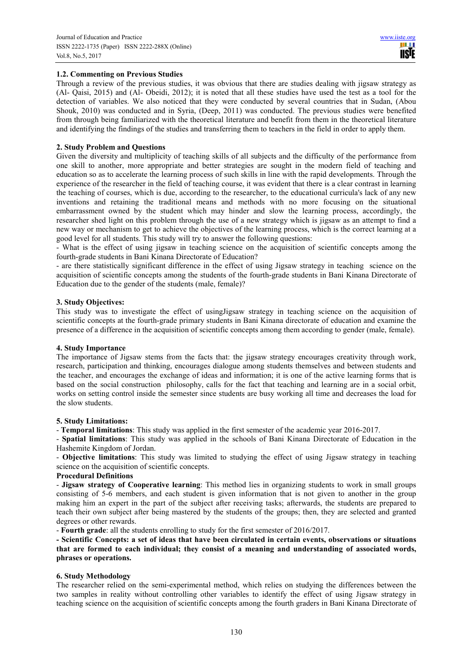# **1.2. Commenting on Previous Studies**

Through a review of the previous studies, it was obvious that there are studies dealing with jigsaw strategy as (Al- Qaisi, 2015) and (Al- Obeidi, 2012); it is noted that all these studies have used the test as a tool for the detection of variables. We also noticed that they were conducted by several countries that in Sudan, (Abou Shouk, 2010) was conducted and in Syria, (Deep, 2011) was conducted. The previous studies were benefited from through being familiarized with the theoretical literature and benefit from them in the theoretical literature and identifying the findings of the studies and transferring them to teachers in the field in order to apply them.

# **2. Study Problem and Questions**

Given the diversity and multiplicity of teaching skills of all subjects and the difficulty of the performance from one skill to another, more appropriate and better strategies are sought in the modern field of teaching and education so as to accelerate the learning process of such skills in line with the rapid developments. Through the experience of the researcher in the field of teaching course, it was evident that there is a clear contrast in learning the teaching of courses, which is due, according to the researcher, to the educational curricula's lack of any new inventions and retaining the traditional means and methods with no more focusing on the situational embarrassment owned by the student which may hinder and slow the learning process, accordingly, the researcher shed light on this problem through the use of a new strategy which is jigsaw as an attempt to find a new way or mechanism to get to achieve the objectives of the learning process, which is the correct learning at a good level for all students. This study will try to answer the following questions:

- What is the effect of using jigsaw in teaching science on the acquisition of scientific concepts among the fourth-grade students in Bani Kinana Directorate of Education?

- are there statistically significant difference in the effect of using Jigsaw strategy in teaching science on the acquisition of scientific concepts among the students of the fourth-grade students in Bani Kinana Directorate of Education due to the gender of the students (male, female)?

# **3. Study Objectives:**

This study was to investigate the effect of usingJigsaw strategy in teaching science on the acquisition of scientific concepts at the fourth-grade primary students in Bani Kinana directorate of education and examine the presence of a difference in the acquisition of scientific concepts among them according to gender (male, female).

# **4. Study Importance**

The importance of Jigsaw stems from the facts that: the jigsaw strategy encourages creativity through work, research, participation and thinking, encourages dialogue among students themselves and between students and the teacher, and encourages the exchange of ideas and information; it is one of the active learning forms that is based on the social construction philosophy, calls for the fact that teaching and learning are in a social orbit, works on setting control inside the semester since students are busy working all time and decreases the load for the slow students.

#### **5. Study Limitations:**

- **Temporal limitations**: This study was applied in the first semester of the academic year 2016-2017.

- **Spatial limitations**: This study was applied in the schools of Bani Kinana Directorate of Education in the Hashemite Kingdom of Jordan.

- **Objective limitations**: This study was limited to studying the effect of using Jigsaw strategy in teaching science on the acquisition of scientific concepts.

#### **Procedural Definitions**

- **Jigsaw strategy of Cooperative learning**: This method lies in organizing students to work in small groups consisting of 5-6 members, and each student is given information that is not given to another in the group making him an expert in the part of the subject after receiving tasks; afterwards, the students are prepared to teach their own subject after being mastered by the students of the groups; then, they are selected and granted degrees or other rewards.

- **Fourth grade**: all the students enrolling to study for the first semester of 2016/2017.

**- Scientific Concepts: a set of ideas that have been circulated in certain events, observations or situations that are formed to each individual; they consist of a meaning and understanding of associated words, phrases or operations.** 

# **6. Study Methodology**

The researcher relied on the semi-experimental method, which relies on studying the differences between the two samples in reality without controlling other variables to identify the effect of using Jigsaw strategy in teaching science on the acquisition of scientific concepts among the fourth graders in Bani Kinana Directorate of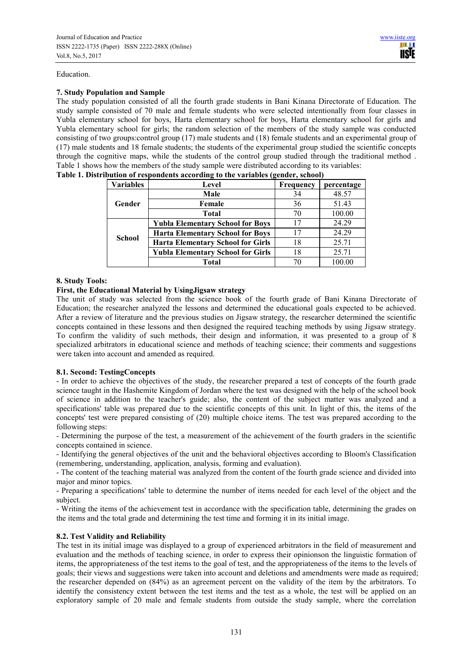#### Education.

# **7. Study Population and Sample**

The study population consisted of all the fourth grade students in Bani Kinana Directorate of Education. The study sample consisted of 70 male and female students who were selected intentionally from four classes in Yubla elementary school for boys, Harta elementary school for boys, Harta elementary school for girls and Yubla elementary school for girls; the random selection of the members of the study sample was conducted consisting of two groups:control group (17) male students and (18) female students and an experimental group of (17) male students and 18 female students; the students of the experimental group studied the scientific concepts through the cognitive maps, while the students of the control group studied through the traditional method . Table 1 shows how the members of the study sample were distributed according to its variables:

| <b>Variables</b> | Level                                    | <b>Frequency</b> | percentage |  |
|------------------|------------------------------------------|------------------|------------|--|
|                  | Male                                     | 34               | 48.57      |  |
| Gender           | Female                                   | 36               | 51.43      |  |
|                  | <b>Total</b>                             | 70               | 100.00     |  |
|                  | <b>Yubla Elementary School for Boys</b>  | 17               | 24.29      |  |
| <b>School</b>    | <b>Harta Elementary School for Boys</b>  |                  | 24.29      |  |
|                  | <b>Harta Elementary School for Girls</b> | 18               | 25.71      |  |
|                  | <b>Yubla Elementary School for Girls</b> | 18               | 25.71      |  |
|                  | Total                                    |                  | 100.00     |  |

|  |  | Table 1. Distribution of respondents according to the variables (gender, school) |
|--|--|----------------------------------------------------------------------------------|
|--|--|----------------------------------------------------------------------------------|

# **8. Study Tools:**

# **First, the Educational Material by UsingJigsaw strategy**

The unit of study was selected from the science book of the fourth grade of Bani Kinana Directorate of Education; the researcher analyzed the lessons and determined the educational goals expected to be achieved. After a review of literature and the previous studies on Jigsaw strategy, the researcher determined the scientific concepts contained in these lessons and then designed the required teaching methods by using Jigsaw strategy. To confirm the validity of such methods, their design and information, it was presented to a group of 8 specialized arbitrators in educational science and methods of teaching science; their comments and suggestions were taken into account and amended as required.

# **8.1. Second: TestingConcepts**

- In order to achieve the objectives of the study, the researcher prepared a test of concepts of the fourth grade science taught in the Hashemite Kingdom of Jordan where the test was designed with the help of the school book of science in addition to the teacher's guide; also, the content of the subject matter was analyzed and a specifications' table was prepared due to the scientific concepts of this unit. In light of this, the items of the concepts' test were prepared consisting of (20) multiple choice items. The test was prepared according to the following steps:

- Determining the purpose of the test, a measurement of the achievement of the fourth graders in the scientific concepts contained in science.

- Identifying the general objectives of the unit and the behavioral objectives according to Bloom's Classification (remembering, understanding, application, analysis, forming and evaluation).

- The content of the teaching material was analyzed from the content of the fourth grade science and divided into major and minor topics.

- Preparing a specifications' table to determine the number of items needed for each level of the object and the subject.

- Writing the items of the achievement test in accordance with the specification table, determining the grades on the items and the total grade and determining the test time and forming it in its initial image.

# **8.2. Test Validity and Reliability**

The test in its initial image was displayed to a group of experienced arbitrators in the field of measurement and evaluation and the methods of teaching science, in order to express their opinionson the linguistic formation of items, the appropriateness of the test items to the goal of test, and the appropriateness of the items to the levels of goals; their views and suggestions were taken into account and deletions and amendments were made as required; the researcher depended on (84%) as an agreement percent on the validity of the item by the arbitrators. To identify the consistency extent between the test items and the test as a whole, the test will be applied on an exploratory sample of 20 male and female students from outside the study sample, where the correlation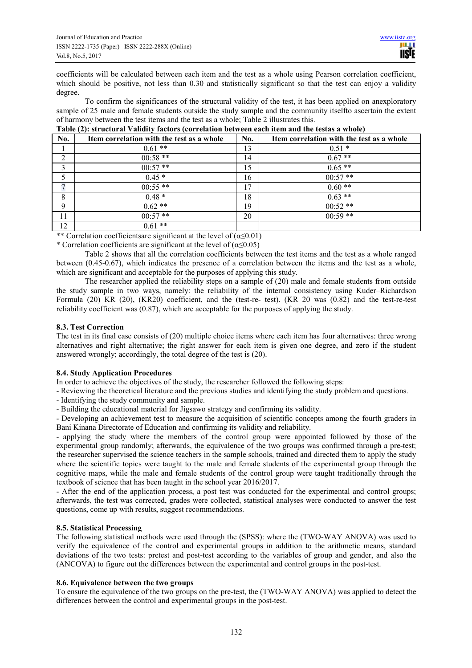coefficients will be calculated between each item and the test as a whole using Pearson correlation coefficient, which should be positive, not less than 0.30 and statistically significant so that the test can enjoy a validity degree.

To confirm the significances of the structural validity of the test, it has been applied on anexploratory sample of 25 male and female students outside the study sample and the community itselfto ascertain the extent of harmony between the test items and the test as a whole; Table 2 illustrates this.

| No. | Item correlation with the test as a whole | No. | Item correlation with the test as a whole |
|-----|-------------------------------------------|-----|-------------------------------------------|
|     | $0.61**$                                  | 13  | $0.51*$                                   |
| 2   | $00:58**$                                 | 14  | $0.67**$                                  |
| 3   | $00:57**$                                 | 15  | $0.65**$                                  |
|     | $0.45*$                                   | 16  | $00:57**$                                 |
|     | $00:55$ **                                | 17  | $0.60**$                                  |
| 8   | $0.48*$                                   | 18  | $0.63**$                                  |
| 9   | $0.62**$                                  | 19  | $00:52**$                                 |
| 11  | $00:57$ **                                | 20  | $00:59$ **                                |
| 12  | $0.61**$                                  |     |                                           |

\*\* Correlation coefficients are significant at the level of  $(\alpha \le 0.01)$ 

\* Correlation coefficients are significant at the level of  $(\alpha \le 0.05)$ 

Table 2 shows that all the correlation coefficients between the test items and the test as a whole ranged between (0.45-0.67), which indicates the presence of a correlation between the items and the test as a whole, which are significant and acceptable for the purposes of applying this study.

The researcher applied the reliability steps on a sample of (20) male and female students from outside the study sample in two ways, namely: the reliability of the internal consistency using Kuder–Richardson Formula (20) KR (20), (KR20) coefficient, and the (test-re- test). (KR 20 was (0.82) and the test-re-test reliability coefficient was (0.87), which are acceptable for the purposes of applying the study.

# **8.3. Test Correction**

The test in its final case consists of (20) multiple choice items where each item has four alternatives: three wrong alternatives and right alternative; the right answer for each item is given one degree, and zero if the student answered wrongly; accordingly, the total degree of the test is (20).

# **8.4. Study Application Procedures**

In order to achieve the objectives of the study, the researcher followed the following steps:

- Reviewing the theoretical literature and the previous studies and identifying the study problem and questions.

- Identifying the study community and sample.
- Building the educational material for Jigsawo strategy and confirming its validity.

- Developing an achievement test to measure the acquisition of scientific concepts among the fourth graders in Bani Kinana Directorate of Education and confirming its validity and reliability.

- applying the study where the members of the control group were appointed followed by those of the experimental group randomly; afterwards, the equivalence of the two groups was confirmed through a pre-test; the researcher supervised the science teachers in the sample schools, trained and directed them to apply the study where the scientific topics were taught to the male and female students of the experimental group through the cognitive maps, while the male and female students of the control group were taught traditionally through the textbook of science that has been taught in the school year 2016/2017.

- After the end of the application process, a post test was conducted for the experimental and control groups; afterwards, the test was corrected, grades were collected, statistical analyses were conducted to answer the test questions, come up with results, suggest recommendations.

# **8.5. Statistical Processing**

The following statistical methods were used through the (SPSS): where the (TWO-WAY ANOVA) was used to verify the equivalence of the control and experimental groups in addition to the arithmetic means, standard deviations of the two tests: pretest and post-test according to the variables of group and gender, and also the (ANCOVA) to figure out the differences between the experimental and control groups in the post-test.

#### **8.6. Equivalence between the two groups**

To ensure the equivalence of the two groups on the pre-test, the (TWO-WAY ANOVA) was applied to detect the differences between the control and experimental groups in the post-test.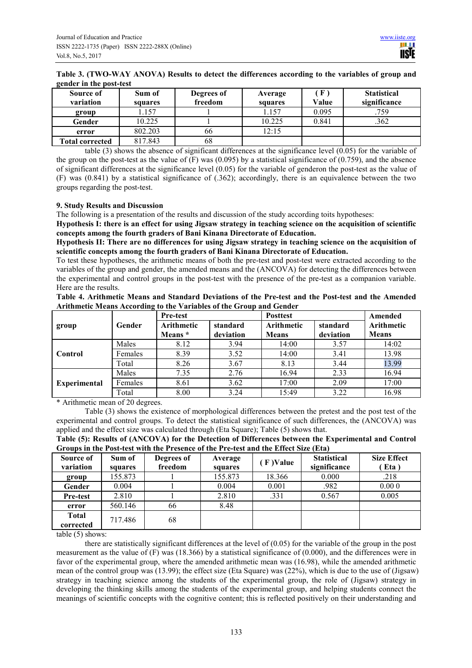| Table 3. (TWO-WAY ANOVA) Results to detect the differences according to the variables of group and |
|----------------------------------------------------------------------------------------------------|
| gender in the post-test                                                                            |

| Source of<br>variation | Sum of<br>squares | Degrees of<br>freedom | Average<br>squares | F<br>Value | <b>Statistical</b><br>significance |
|------------------------|-------------------|-----------------------|--------------------|------------|------------------------------------|
| group                  | l.157             |                       | 1.157              | 0.095      | .759                               |
| Gender                 | 10.225            |                       | 10.225             | 0.841      | .362                               |
| error                  | 802.203           | 66                    | 12:15              |            |                                    |
| <b>Total corrected</b> | 817.843           | 68                    |                    |            |                                    |

table (3) shows the absence of significant differences at the significance level (0.05) for the variable of the group on the post-test as the value of  $(F)$  was  $(0.095)$  by a statistical significance of  $(0.759)$ , and the absence of significant differences at the significance level (0.05) for the variable of genderon the post-test as the value of (F) was (0.841) by a statistical significance of (.362); accordingly, there is an equivalence between the two groups regarding the post-test.

# **9. Study Results and Discussion**

The following is a presentation of the results and discussion of the study according toits hypotheses:

**Hypothesis I: there is an effect for using Jigsaw strategy in teaching science on the acquisition of scientific concepts among the fourth graders of Bani Kinana Directorate of Education.** 

**Hypothesis II: There are no differences for using Jigsaw strategy in teaching science on the acquisition of scientific concepts among the fourth graders of Bani Kinana Directorate of Education.** 

To test these hypotheses, the arithmetic means of both the pre-test and post-test were extracted according to the variables of the group and gender, the amended means and the (ANCOVA) for detecting the differences between the experimental and control groups in the post-test with the presence of the pre-test as a companion variable. Here are the results.

| Table 4. Arithmetic Means and Standard Deviations of the Pre-test and the Post-test and the Amended |  |  |  |  |  |
|-----------------------------------------------------------------------------------------------------|--|--|--|--|--|
| Arithmetic Means According to the Variables of the Group and Gender                                 |  |  |  |  |  |

|                     |         | Pre-test   |           | <b>Posttest</b> | Amended   |                   |
|---------------------|---------|------------|-----------|-----------------|-----------|-------------------|
| group               | Gender  | Arithmetic | standard  | Arithmetic      | standard  | <b>Arithmetic</b> |
|                     |         | Means *    | deviation | <b>Means</b>    | deviation | <b>Means</b>      |
|                     | Males   | 8.12       | 3.94      | 14:00           | 3.57      | 14:02             |
| Control             | Females | 8.39       | 3.52      | 14:00           | 3.41      | 13.98             |
|                     | Total   | 8.26       | 3.67      | 8.13            | 3.44      | 13.99             |
|                     | Males   | 7.35       | 2.76      | 16.94           | 2.33      | 16.94             |
| <b>Experimental</b> | Females | 8.61       | 3.62      | 17:00           | 2.09      | 17:00             |
|                     | Total   | 8.00       | 3.24      | 15:49           | 3.22      | 16.98             |

\* Arithmetic mean of 20 degrees.

Table (3) shows the existence of morphological differences between the pretest and the post test of the experimental and control groups. To detect the statistical significance of such differences, the (ANCOVA) was applied and the effect size was calculated through (Eta Square); Table (5) shows that.

| Table (5): Results of (ANCOVA) for the Detection of Differences between the Experimental and Control |  |
|------------------------------------------------------------------------------------------------------|--|
| Groups in the Post-test with the Presence of the Pre-test and the Effect Size (Eta)                  |  |

| Source of<br>variation    | Sum of<br>squares | Degrees of<br>freedom | Average<br>squares | F)Value | <b>Statistical</b><br>significance | <b>Size Effect</b><br>Eta) |
|---------------------------|-------------------|-----------------------|--------------------|---------|------------------------------------|----------------------------|
| group                     | 155.873           |                       | 155.873            | 18.366  | 0.000                              | .218                       |
| Gender                    | 0.004             |                       | 0.004              | 0.001   | .982                               | 0.000                      |
| <b>Pre-test</b>           | 2.810             |                       | 2.810              | .331    | 0.567                              | 0.005                      |
| error                     | 560.146           | 66                    | 8.48               |         |                                    |                            |
| <b>Total</b><br>corrected | 717.486           | 68                    |                    |         |                                    |                            |

table (5) shows:

there are statistically significant differences at the level of  $(0.05)$  for the variable of the group in the post measurement as the value of  $(F)$  was (18.366) by a statistical significance of (0.000), and the differences were in favor of the experimental group, where the amended arithmetic mean was (16.98), while the amended arithmetic mean of the control group was (13.99); the effect size (Eta Square) was (22%), which is due to the use of (Jigsaw) strategy in teaching science among the students of the experimental group, the role of (Jigsaw) strategy in developing the thinking skills among the students of the experimental group, and helping students connect the meanings of scientific concepts with the cognitive content; this is reflected positively on their understanding and